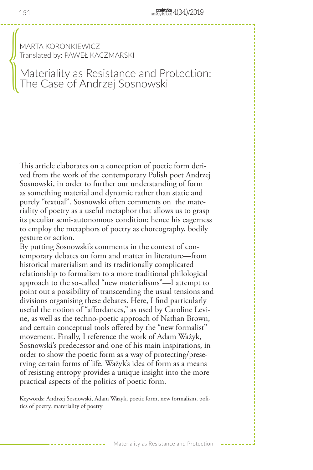MARTA KORONKIEWICZ Translated by: PAWEŁ KACZMARSKI

# Materiality as Resistance and Protection: The Case of Andrzej Sosnowski  $\begin{pmatrix} 0 & 0 & 0 \\ 0 & 0 & 0 \\ 0 & 0 & 0 \\ 0 & 0 & 0 \\ 0 & 0 & 0 \\ 0 & 0 & 0 \\ 0 & 0 & 0 \\ 0 & 0 & 0 \\ 0 & 0 & 0 \\ 0 & 0 & 0 \\ 0 & 0 & 0 \\ 0 & 0 & 0 \\ 0 & 0 & 0 \\ 0 & 0 & 0 & 0 \\ 0 & 0 & 0 & 0 \\ 0 & 0 & 0 & 0 \\ 0 & 0 & 0 & 0 & 0 \\ 0 & 0 & 0 & 0 & 0 \\ 0 & 0 & 0 & 0 & 0 \\ 0 & 0 & 0 & 0 & 0 &$

This article elaborates on a conception of poetic form derived from the work of the contemporary Polish poet Andrzej Sosnowski, in order to further our understanding of form as something material and dynamic rather than static and purely "textual". Sosnowski often comments on the materiality of poetry as a useful metaphor that allows us to grasp its peculiar semi-autonomous condition; hence his eagerness to employ the metaphors of poetry as choreography, bodily gesture or action.

By putting Sosnowski's comments in the context of contemporary debates on form and matter in literature—from historical materialism and its traditionally complicated relationship to formalism to a more traditional philological approach to the so-called "new materialisms"—I attempt to point out a possibility of transcending the usual tensions and divisions organising these debates. Here, I find particularly useful the notion of "affordances," as used by Caroline Levine, as well as the techno-poetic approach of Nathan Brown, and certain conceptual tools offered by the "new formalist" movement. Finally, I reference the work of Adam Ważyk, Sosnowski's predecessor and one of his main inspirations, in order to show the poetic form as a way of protecting/preserving certain forms of life. Ważyk's idea of form as a means of resisting entropy provides a unique insight into the more practical aspects of the politics of poetic form.

Keywords: Andrzej Sosnowski, Adam Ważyk, poetic form, new formalism, politics of poetry, materiality of poetry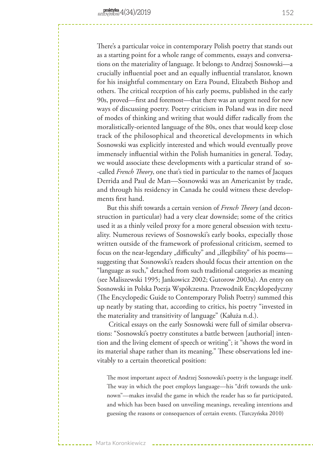There's a particular voice in contemporary Polish poetry that stands out as a starting point for a whole range of comments, essays and conversations on the materiality of language. It belongs to Andrzej Sosnowski—a crucially influential poet and an equally influential translator, known for his insightful commentary on Ezra Pound, Elizabeth Bishop and others. The critical reception of his early poems, published in the early 90s, proved—first and foremost—that there was an urgent need for new ways of discussing poetry. Poetry criticism in Poland was in dire need of modes of thinking and writing that would differ radically from the moralistically-oriented language of the 80s, ones that would keep close track of the philosophical and theoretical developments in which Sosnowski was explicitly interested and which would eventually prove immensely influential within the Polish humanities in general. Today, we would associate these developments with a particular strand of so- -called *French Theory*, one that's tied in particular to the names of Jacques Derrida and Paul de Man—Sosnowski was an Americanist by trade, and through his residency in Canada he could witness these developments first hand.

But this shift towards a certain version of *French Theory* (and deconstruction in particular) had a very clear downside; some of the critics used it as a thinly veiled proxy for a more general obsession with textuality. Numerous reviews of Sosnowski's early books, especially those written outside of the framework of professional criticism, seemed to focus on the near-legendary "difficulty" and "illegibility" of his poems suggesting that Sosnowski's readers should focus their attention on the "language as such," detached from such traditional categories as meaning (see Maliszewski 1995; Jankowicz 2002; Gutorow 2003a). An entry on Sosnowski in Polska Poezja Współczesna. Przewodnik Encyklopedyczny (The Encyclopedic Guide to Contemporary Polish Poetry) summed this up neatly by stating that, according to critics, his poetry "invested in the materiality and transitivity of language" (Kałuża n.d.).

 Critical essays on the early Sosnowski were full of similar observations: "Sosnowski's poetry constitutes a battle between [authorial] intention and the living element of speech or writing"; it "shows the word in its material shape rather than its meaning." These observations led inevitably to a certain theoretical position:

The most important aspect of Andrzej Sosnowski's poetry is the language itself. The way in which the poet employs language—his "drift towards the unknown"—makes invalid the game in which the reader has so far participated, and which has been based on unveiling meanings, revealing intentions and guessing the reasons or consequences of certain events. (Turczyńska 2010)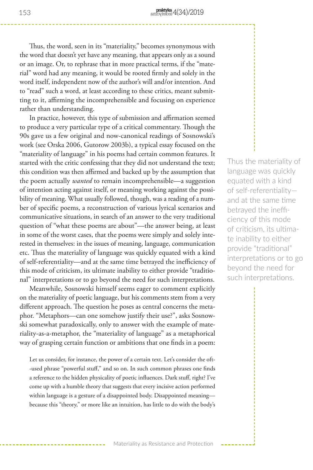Thus, the word, seen in its "materiality," becomes synonymous with the word that doesn't yet have any meaning, that appears only as a sound or an image. Or, to rephrase that in more practical terms, if the "material" word had any meaning, it would be rooted firmly and solely in the word itself, independent now of the author's will and/or intention. And to "read" such a word, at least according to these critics, meant submitting to it, affirming the incomprehensible and focusing on experience rather than understanding.

In practice, however, this type of submission and affirmation seemed to produce a very particular type of a critical commentary. Though the 90s gave us a few original and now-canonical readings of Sosnowski's work (see Orska 2006, Gutorow 2003b), a typical essay focused on the "materiality of language" in his poems had certain common features. It started with the critic confessing that they did not understand the text; this condition was then affirmed and backed up by the assumption that the poem actually *wanted* to remain incomprehensible—a suggestion of intention acting against itself, or meaning working against the possibility of meaning. What usually followed, though, was a reading of a number of specific poems, a reconstruction of various lyrical scenarios and communicative situations, in search of an answer to the very traditional question of "what these poems are about"—the answer being, at least in some of the worst cases, that the poems were simply and solely interested in themselves: in the issues of meaning, language, communication etc. Thus the materiality of language was quickly equated with a kind of self-referentiality—and at the same time betrayed the inefficiency of this mode of criticism, its ultimate inability to either provide "traditional" interpretations or to go beyond the need for such interpretations.

Meanwhile, Sosnowski himself seems eager to comment explicitly on the materiality of poetic language, but his comments stem from a very different approach. The question he poses as central concerns the metaphor. "Metaphors—can one somehow justify their use?", asks Sosnowski somewhat paradoxically, only to answer with the example of materiality-as-a-metaphor, the "materiality of language" as a metaphorical way of grasping certain function or ambitions that one finds in a poem:

Let us consider, for instance, the power of a certain text. Let's consider the oft- -used phrase "powerful stuff," and so on. In such common phrases one finds a reference to the hidden physicality of poetic influences. Dark stuff, right? I've come up with a humble theory that suggests that every incisive action performed within language is a gesture of a disappointed body. Disappointed meaning because this "theory," or more like an intuition, has little to do with the body's

Thus the materiality of language was quickly equated with a kind of self-referentiality and at the same time betrayed the inefficiency of this mode of criticism, its ultimate inability to either provide "traditional" interpretations or to go beyond the need for such interpretations.

Materiality as Resistance and Protection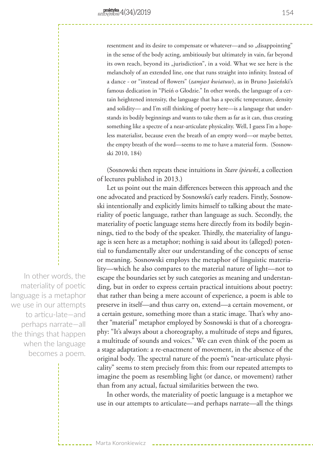resentment and its desire to compensate or whatever—and so "disappointing" in the sense of the body acting, ambitiously but ultimately in vain, far beyond its own reach, beyond its "jurisdiction", in a void. What we see here is the melancholy of an extended line, one that runs straight into infinity. Instead of a dance - or "instead of flowers" (*zamjast kwiatuw*), as in Bruno Jasieński's famous dedication in "Pieśń o Głodzie." In other words, the language of a certain heightened intensity, the language that has a specific temperature, density and solidity— and I'm still thinking of poetry here—is a language that understands its bodily beginnings and wants to take them as far as it can, thus creating something like a spectre of a near-articulate physicality. Well, I guess I'm a hopeless materialist, because even the breath of an empty word—or maybe better, the empty breath of the word—seems to me to have a material form. (Sosnowski 2010, 184)

(Sosnowski then repeats these intuitions in *Stare śpiewki*, a collection of lectures published in 2013.)

Let us point out the main differences between this approach and the one advocated and practiced by Sosnowski's early readers. Firstly, Sosnowski intentionally and explicitly limits himself to talking about the materiality of poetic language, rather than language as such. Secondly, the materiality of poetic language stems here directly from its bodily beginnings, tied to the body of the speaker. Thirdly, the materiality of language is seen here as a metaphor; nothing is said about its (alleged) potential to fundamentally alter our understanding of the concepts of sense or meaning. Sosnowski employs the metaphor of linguistic materiality—which he also compares to the material nature of light—not to escape the boundaries set by such categories as meaning and understanding, but in order to express certain practical intuitions about poetry: that rather than being a mere account of experience, a poem is able to preserve in itself—and thus carry on, extend—a certain movement, or a certain gesture, something more than a static image. That's why another "material" metaphor employed by Sosnowski is that of a choreography: "It's always about a choreography, a multitude of steps and figures, a multitude of sounds and voices." We can even think of the poem as a stage adaptation: a re-enactment of movement, in the absence of the original body. The spectral nature of the poem's "near-articulate physicality" seems to stem precisely from this: from our repeated attempts to imagine the poem as resembling light (or dance, or movement) rather than from any actual, factual similarities between the two.

In other words, the materiality of poetic language is a metaphor we use in our attempts to articulate—and perhaps narrate—all the things

In other words, the materiality of poetic language is a metaphor we use in our attempts to articu-late—and perhaps narrate—all the things that happen when the language becomes a poem.

Marta Koronkiewicz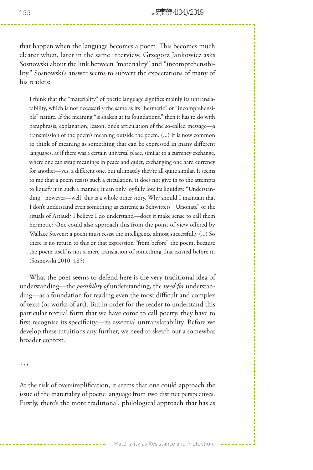that happen when the language becomes a poem. This becomes much clearer when, later in the same interview, Grzegorz Jankowicz asks Sosnowski about the link between "materiality" and "incomprehensibility." Sosnowski's answer seems to subvert the expectations of many of his readers:

I think that the "materiality" of poetic language signifies mainly its untranslatability, which is not necessarily the same as its "hermetic" or "incomprehensible" nature. If the meaning "is shaken at its foundations," then it has to do with paraphrasis, explanation, lesson, one's articulation of the so-called message—a transmission of the poem's meaning outside the poem. (...) It is now common to think of meaning as something that can be expressed in many different languages, as if there was a certain universal place, similar to a currency exchange, where one can swap meanings in peace and quiet, exchanging one hard currency for another—yes, a different one, but ultimately they're all quite similar. It seems to me that a poem resists such a circulation, it does not give in to the attempts to liquefy it in such a manner, it can only joyfully lose its liquidity. "Understanding," however—well, this is a whole other story. Why should I maintain that I don't understand even something as extreme as Schwitters' "Ursonate" or the rituals of Artaud? I believe I do understand—does it make sense to call them hermetic? One could also approach this from the point of view offered by Wallace Stevens: a poem must resist the intelligence almost successfully (...) So there is no return to this or that expression "from before" the poem, because the poem itself is not a mere translation of something that existed before it. (Sosnowski 2010, 185)

What the poet seems to defend here is the very traditional idea of understanding—the *possibility of* understanding, the *need for* understanding—as a foundation for reading even the most difficult and complex of texts (or works of art). But in order for the reader to understand this particular textual form that we have come to call poetry, they have to first recognise its specificity—its essential untranslatability. Before we develop these intuitions any further, we need to sketch out a somewhat broader context.

\*\*\*

At the risk of oversimplification, it seems that one could approach the issue of the materiality of poetic language from two distinct perspectives. Firstly, there's the more traditional, philological approach that has as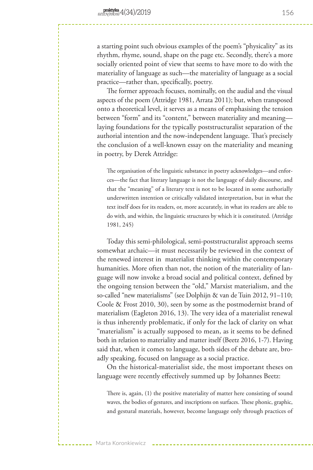a starting point such obvious examples of the poem's "physicality" as its rhythm, rhyme, sound, shape on the page etc. Secondly, there's a more socially oriented point of view that seems to have more to do with the materiality of language as such—the materiality of language as a social practice—rather than, specifically, poetry.

The former approach focuses, nominally, on the audial and the visual aspects of the poem (Attridge 1981, Arrata 2011); but, when transposed onto a theoretical level, it serves as a means of emphasising the tension between "form" and its "content," between materiality and meaning laying foundations for the typically poststructuralist separation of the authorial intention and the now-independent language. That's precisely the conclusion of a well-known essay on the materiality and meaning in poetry, by Derek Attridge:

The organisation of the linguistic substance in poetry acknowledges—and enforces—the fact that literary language is not the language of daily discourse, and that the "meaning" of a literary text is not to be located in some authorially underwritten intention or critically validated interpretation, but in what the text itself does for its readers, or, more accurately, in what its readers are able to do with, and within, the linguistic structures by which it is constituted. (Attridge 1981, 245)

Today this semi-philological, semi-poststructuralist approach seems somewhat archaic—it must necessarily be reviewed in the context of the renewed interest in materialist thinking within the contemporary humanities. More often than not, the notion of the materiality of language will now invoke a broad social and political context, defined by the ongoing tension between the "old," Marxist materialism, and the so-called "new materialisms" (see Dolphijn & van de Tuin 2012, 91–110; Coole & Frost 2010, 30), seen by some as the postmodernist brand of materialism (Eagleton 2016, 13). The very idea of a materialist renewal is thus inherently problematic, if only for the lack of clarity on what "materialism" is actually supposed to mean, as it seems to be defined both in relation to materiality and matter itself (Beetz 2016, 1-7). Having said that, when it comes to language, both sides of the debate are, broadly speaking, focused on language as a social practice.

On the historical-materialist side, the most important theses on language were recently effectively summed up by Johannes Beetz:

There is, again, (1) the positive materiality of matter here consisting of sound waves, the bodies of gestures, and inscriptions on surfaces. These phonic, graphic, and gestural materials, however, become language only through practices of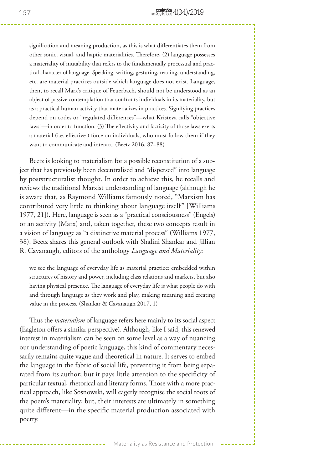signification and meaning production, as this is what differentiates them from other sonic, visual, and haptic materialities. Therefore, (2) language possesses a materiality of mutability that refers to the fundamentally processual and practical character of language. Speaking, writing, gesturing, reading, understanding, etc. are material practices outside which language does not exist. Language, then, to recall Marx's critique of Feuerbach, should not be understood as an object of passive contemplation that confronts individuals in its materiality, but as a practical human activity that materializes in practices. Signifying practices depend on codes or "regulated differences"—what Kristeva calls "objective laws"—in order to function. (3) The effectivity and facticity of those laws exerts a material (i.e. effective ) force on individuals, who must follow them if they want to communicate and interact. (Beetz 2016, 87–88)

Beetz is looking to materialism for a possible reconstitution of a subject that has previously been decentralised and "dispersed" into language by poststructuralist thought. In order to achieve this, he recalls and reviews the traditional Marxist understanding of language (although he is aware that, as Raymond Williams famously noted, "Marxism has contributed very little to thinking about language itself" [Williams 1977, 21]). Here, language is seen as a "practical consciousness" (Engels) or an activity (Marx) and, taken together, these two concepts result in a vision of language as "a distinctive material process" (Williams 1977, 38). Beetz shares this general outlook with Shalini Shankar and Jillian R. Cavanaugh, editors of the anthology *Language and Materiality*:

we see the language of everyday life as material practice: embedded within structures of history and power, including class relations and markets, but also having physical presence. The language of everyday life is what people do with and through language as they work and play, making meaning and creating value in the process. (Shankar & Cavanaugh 2017, 1)

Thus the *materialism* of language refers here mainly to its social aspect (Eagleton offers a similar perspective). Although, like I said, this renewed interest in materialism can be seen on some level as a way of nuancing our understanding of poetic language, this kind of commentary necessarily remains quite vague and theoretical in nature. It serves to embed the language in the fabric of social life, preventing it from being separated from its author; but it pays little attention to the specificity of particular textual, rhetorical and literary forms. Those with a more practical approach, like Sosnowski, will eagerly recognise the social roots of the poem's materiality; but, their interests are ultimately in something quite different—in the specific material production associated with poetry.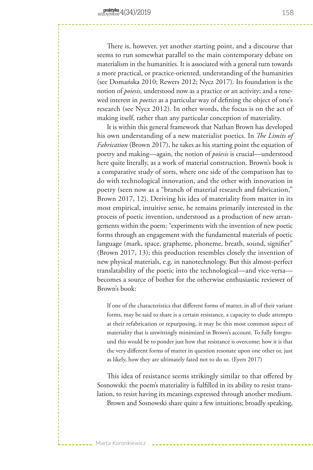There is, however, yet another starting point, and a discourse that seems to run somewhat parallel to the main contemporary debate on materialism in the humanities. It is associated with a general turn towards a more practical, or practice-oriented, understanding of the humanities (see Domańska 2010; Rewers 2012; Nycz 2017). Its foundation is the notion of *poiesis*, understood now as a practice or an activity; and a renewed interest in *poetics* as a particular way of defining the object of one's research (see Nycz 2012). In other words, the focus is on the act of making itself, rather than any particular conception of materiality.

It is within this general framework that Nathan Brown has developed his own understanding of a new materialist poetics. In *The Limits of Fabrication* (Brown 2017), he takes as his starting point the equation of poetry and making—again, the notion of *poiesis* is crucial—understood here quite literally, as a work of material construction. Brown's book is a comparative study of sorts, where one side of the comparison has to do with technological innovation, and the other with innovation in poetry (seen now as a "branch of material research and fabrication," Brown 2017, 12). Deriving his idea of materiality from matter in its most empirical, intuitive sense, he remains primarily interested in the process of poetic invention, understood as a production of new arrangements within the poem: "experiments with the invention of new poetic forms through an engagement with the fundamental materials of poetic language (mark, space, grapheme, phoneme, breath, sound, signifier" (Brown 2017, 13); this production resembles closely the invention of new physical materials, e.g. in nanotechnology. But this almost-perfect translatability of the poetic into the technological—and vice-versa becomes a source of bother for the otherwise enthusiastic reviewer of Brown's book:

If one of the characteristics that different forms of matter, in all of their variant forms, may be said to share is a certain resistance, a capacity to elude attempts at their refabrication or repurposing, it may be this most common aspect of materiality that is unwittingly minimized in Brown's account. To fully foreground this would be to ponder just how that resistance is overcome; how it is that the very different forms of matter in question resonate upon one other or, just as likely, how they are ultimately fated not to do so. (Eyers 2017)

This idea of resistance seems strikingly similar to that offered by Sosnowski: the poem's materiality is fulfilled in its ability to resist translation, to resist having its meanings expressed through another medium. Brown and Sosnowski share quite a few intuitions; broadly speaking,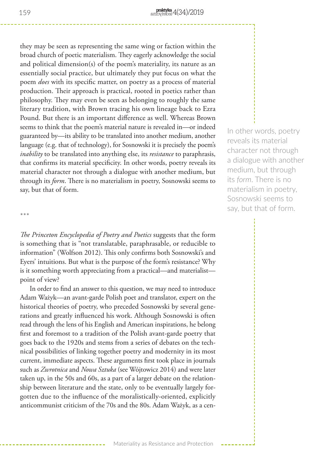they may be seen as representing the same wing or faction within the broad church of poetic materialism. They eagerly acknowledge the social and political dimension(s) of the poem's materiality, its nature as an essentially social practice, but ultimately they put focus on what the poem *does* with its specific matter, on poetry as a process of material production. Their approach is practical, rooted in poetics rather than philosophy. They may even be seen as belonging to roughly the same literary tradition, with Brown tracing his own lineage back to Ezra Pound. But there is an important difference as well. Whereas Brown seems to think that the poem's material nature is revealed in—or indeed guaranteed by—its ability to be translated into another medium, another language (e.g. that of technology), for Sosnowski it is precisely the poem's *inability* to be translated into anything else, its *resistance* to paraphrasis, that confirms its material specificity. In other words, poetry reveals its material character not through a dialogue with another medium, but through its *form*. There is no materialism in poetry, Sosnowski seems to say, but that of form.

\*\*\*

*The Princeton Encyclopedia of Poetry and Poetics* suggests that the form is something that is "not translatable, paraphrasable, or reducible to information" (Wolfson 2012). This only confirms both Sosnowski's and Eyers' intuitions. But what is the purpose of the form's resistance? Why is it something worth appreciating from a practical—and materialist point of view?

In order to find an answer to this question, we may need to introduce Adam Ważyk—an avant-garde Polish poet and translator, expert on the historical theories of poetry, who preceded Sosnowski by several generations and greatly influenced his work. Although Sosnowski is often read through the lens of his English and American inspirations, he belong first and foremost to a tradition of the Polish avant-garde poetry that goes back to the 1920s and stems from a series of debates on the technical possibilities of linking together poetry and modernity in its most current, immediate aspects. These arguments first took place in journals such as *Zwrotnica* and *Nowa Sztuka* (see Wójtowicz 2014) and were later taken up, in the 50s and 60s, as a part of a larger debate on the relationship between literature and the state, only to be eventually largely forgotten due to the influence of the moralistically-oriented, explicitly anticommunist criticism of the 70s and the 80s. Adam Ważyk, as a cen-

In other words, poetry reveals its material character not through a dialogue with another medium, but through its *form*. There is no materialism in poetry, Sosnowski seems to say, but that of form.

Materiality as Resistance and Protection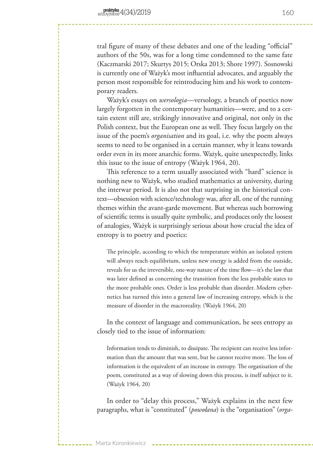tral figure of many of these debates and one of the leading "official" authors of the 50s, was for a long time condemned to the same fate (Kaczmarski 2017; Skurtys 2015; Orska 2013; Shore 1997). Sosnowski is currently one of Ważyk's most influential advocates, and arguably the person most responsible for reintroducing him and his work to contemporary readers.

Ważyk's essays on *wersologia*—versology, a branch of poetics now largely forgotten in the contemporary humanities—were, and to a certain extent still are, strikingly innovative and original, not only in the Polish context, but the European one as well. They focus largely on the issue of the poem's *organisation* and its goal, i.e. why the poem always seems to need to be organised in a certain manner, why it leans towards order even in its more anarchic forms. Ważyk, quite unexpectedly, links this issue to the issue of entropy (Ważyk 1964, 20).

This reference to a term usually associated with "hard" science is nothing new to Ważyk, who studied mathematics at university, during the interwar period. It is also not that surprising in the historical context—obsession with science/technology was, after all, one of the running themes within the avant-garde movement. But whereas such borrowing of scientific terms is usually quite symbolic, and produces only the loosest of analogies, Ważyk is surprisingly serious about how crucial the idea of entropy is to poetry and poetics:

The principle, according to which the temperature within an isolated system will always reach equilibrium, unless new energy is added from the outside, reveals for us the irreversible, one-way nature of the time flow—it's the law that was later defined as concerning the transition from the less probable states to the more probable ones. Order is less probable than disorder. Modern cybernetics has turned this into a general law of increasing entropy, which is the measure of disorder in the macroreality. (Ważyk 1964, 20)

In the context of language and communication, he sees entropy as closely tied to the issue of information:

Information tends to diminish, to dissipate. The recipient can receive less information than the amount that was sent, but he cannot receive more. The loss of information is the equivalent of an increase in entropy. The organisation of the poem, constituted as a way of slowing down this process, is itself subject to it. (Ważyk 1964, 20)

In order to "delay this process," Ważyk explains in the next few paragraphs, what is "constituted" (*powołana*) is the "organisation" (*orga-*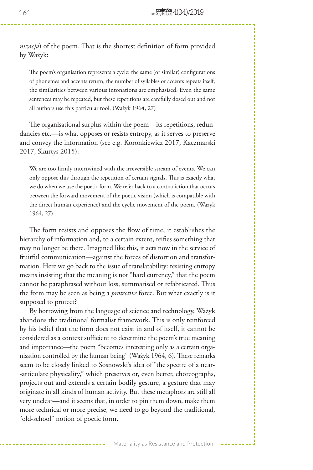*nizacja*) of the poem. That is the shortest definition of form provided by Ważyk:

The poem's organisation represents a cycle: the same (or similar) configurations of phonemes and accents return, the number of syllables or accents repeats itself, the similarities between various intonations are emphasised. Even the same sentences may be repeated, but these repetitions are carefully dosed out and not all authors use this particular tool. (Ważyk 1964, 27)

The organisational surplus within the poem—its repetitions, redundancies etc.—is what opposes or resists entropy, as it serves to preserve and convey the information (see e.g. Koronkiewicz 2017, Kaczmarski 2017, Skurtys 2015):

We are too firmly intertwined with the irreversible stream of events. We can only oppose this through the repetition of certain signals. This is exactly what we do when we use the poetic form. We refer back to a contradiction that occurs between the forward movement of the poetic vision (which is compatible with the direct human experience) and the cyclic movement of the poem. (Ważyk 1964, 27)

The form resists and opposes the flow of time, it establishes the hierarchy of information and, to a certain extent, reifies something that may no longer be there. Imagined like this, it acts now in the service of fruitful communication—against the forces of distortion and transformation. Here we go back to the issue of translatability: resisting entropy means insisting that the meaning is not "hard currency," that the poem cannot be paraphrased without loss, summarised or refabricated. Thus the form may be seen as being a *protective* force. But what exactly is it supposed to protect?

By borrowing from the language of science and technology, Ważyk abandons the traditional formalist framework. This is only reinforced by his belief that the form does not exist in and of itself, it cannot be considered as a context sufficient to determine the poem's true meaning and importance—the poem "becomes interesting only as a certain organisation controlled by the human being" (Ważyk 1964, 6). These remarks seem to be closely linked to Sosnowski's idea of "the spectre of a near- -articulate physicality," which preserves or, even better, choreographs, projects out and extends a certain bodily gesture, a gesture that may originate in all kinds of human activity. But these metaphors are still all very unclear—and it seems that, in order to pin them down, make them more technical or more precise, we need to go beyond the traditional, "old-school" notion of poetic form.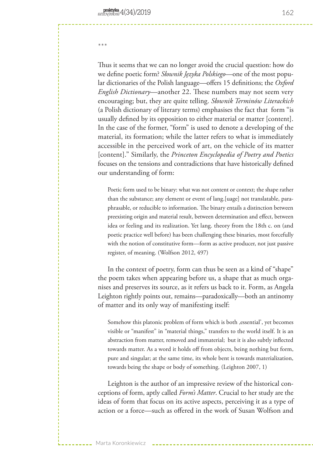\*\*\*

Thus it seems that we can no longer avoid the crucial question: how do we define poetic form? *Słownik Języka Polskiego*—one of the most popular dictionaries of the Polish language—offers 15 definitions; the *Oxford English Dictionary*—another 22. These numbers may not seem very encouraging; but, they are quite telling. *Słownik Terminów Literackich* (a Polish dictionary of literary terms) emphasises the fact that form "is usually defined by its opposition to either material or matter [content]. In the case of the former, "form" is used to denote a developing of the material, its formation; while the latter refers to what is immediately accessible in the perceived work of art, on the vehicle of its matter [content]." Similarly, the *Princeton Encyclopedia of Poetry and Poetics* focuses on the tensions and contradictions that have historically defined our understanding of form:

Poetic form used to be binary: what was not content or context; the shape rather than the substance; any element or event of lang.[uage] not translatable, paraphrasable, or reducible to information. The binary entails a distinction between preexisting origin and material result, between determination and effect, between idea or feeling and its realization. Yet lang. theory from the 18th c. on (and poetic practice well before) has been challenging these binaries, most forcefully with the notion of constitutive form—form as active producer, not just passive register, of meaning. (Wolfson 2012, 497)

In the context of poetry, form can thus be seen as a kind of "shape" the poem takes when appearing before us, a shape that as much organises and preserves its source, as it refers us back to it. Form, as Angela Leighton rightly points out, remains—paradoxically—both an antinomy of matter and its only way of manifesting itself:

Somehow this platonic problem of form which is both , essential', yet becomes visible or "manifest" in "material things," transfers to the world itself. It is an abstraction from matter, removed and immaterial; but it is also subtly inflected towards matter. As a word it holds off from objects, being nothing but form, pure and singular; at the same time, its whole bent is towards materialization, towards being the shape or body of something. (Leighton 2007, 1)

Leighton is the author of an impressive review of the historical conceptions of form, aptly called *Form's Matter*. Crucial to her study are the ideas of form that focus on its active aspects, perceiving it as a type of action or a force—such as offered in the work of Susan Wolfson and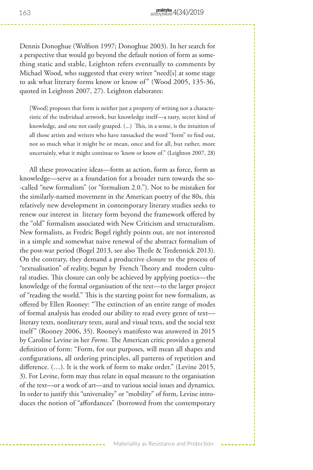Dennis Donoghue (Wolfson 1997; Donoghue 2003). In her search for a perspective that would go beyond the default notion of form as something static and stable, Leighton refers eventually to comments by Michael Wood, who suggested that every writer "need[s] at some stage to ask what literary forms know or know of" (Wood 2005, 135-36, quoted in Leighton 2007, 27). Leighton elaborates:

[Wood] proposes that form is neither just a property of writing nor a characteristic of the individual artwork, but knowledge itself—a tasty, secret kind of knowledge, and one not easily grasped. (...) This, in a sense, is the intuition of all those artists and writers who have ransacked the word "form" to find out, not so much what it might be or mean, once and for all, but rather, more uncertainly, what it might continue to 'know or know of." (Leighton 2007, 28)

All these provocative ideas—form as action, form as force, form as knowledge—serve as a foundation for a broader turn towards the so- -called "new formalism" (or "formalism 2.0."). Not to be mistaken for the similarly-named movement in the American poetry of the 80s, this relatively new development in contemporary literary studies seeks to renew our interest in literary form beyond the framework offered by the "old" formalism associated with New Criticism and structuralism. New formalists, as Fredric Bogel rightly points out, are not interested in a simple and somewhat naive renewal of the abstract formalism of the post-war period (Bogel 2013, see also Theile & Tredennick 2013). On the contrary, they demand a productive closure to the process of "textualisation" of reality, begun by French Theory and modern cultural studies. This closure can only be achieved by applying poetics—the knowledge of the formal organisation of the text—to the larger project of "reading the world." This is the starting point for new formalism, as offered by Ellen Rooney: "The extinction of an entire range of modes of formal analysis has eroded our ability to read every genre of text literary texts, nonliterary texts, aural and visual texts, and the social text itself" (Rooney 2006, 35). Rooney's manifesto was answered in 2015 by Caroline Levine in her *Forms*. The American critic provides a general definition of form: "Form, for our purposes, will mean all shapes and configurations, all ordering principles, all patterns of repetition and difference. (…). It is the work of form to make order." (Levine 2015, 3). For Levine, form may thus relate in equal measure to the organisation of the text—or a work of art—and to various social issues and dynamics. In order to justify this "universality" or "mobility" of form, Levine introduces the notion of "affordances" (borrowed from the contemporary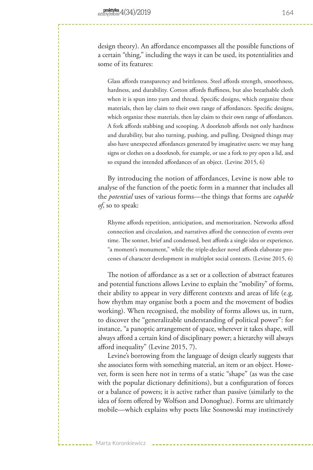design theory). An affordance encompasses all the possible functions of a certain "thing," including the ways it can be used, its potentialities and some of its features:

Glass affords transparency and brittleness. Steel affords strength, smoothness, hardness, and durability. Cotton affords fluffiness, but also breathable cloth when it is spun into yarn and thread. Specific designs, which organize these materials, then lay claim to their own range of affordances. Specific designs, which organize these materials, then lay claim to their own range of affordances. A fork affords stabbing and scooping. A doorknob affords not only hardness and durability, but also turning, pushing, and pulling. Designed things may also have unexpected affordances generated by imaginative users: we may hang signs or clothes on a doorknob, for example, or use a fork to pry open a lid, and so expand the intended affordances of an object. (Levine 2015, 6)

By introducing the notion of affordances, Levine is now able to analyse of the function of the poetic form in a manner that includes all the *potential* uses of various forms—the things that forms are *capable of*, so to speak:

Rhyme affords repetition, anticipation, and memorization. Networks afford connection and circulation, and narratives afford the connection of events over time. The sonnet, brief and condensed, best affords a single idea or experience, "a moment's monument," while the triple-decker novel affords elaborate processes of character development in multiplot social contexts. (Levine 2015, 6)

The notion of affordance as a set or a collection of abstract features and potential functions allows Levine to explain the "mobility" of forms, their ability to appear in very different contexts and areas of life (e.g. how rhythm may organise both a poem and the movement of bodies working). When recognised, the mobility of forms allows us, in turn, to discover the "generalizable understanding of political power": for instance, "a panoptic arrangement of space, wherever it takes shape, will always afford a certain kind of disciplinary power; a hierarchy will always afford inequality" (Levine 2015, 7).

Levine's borrowing from the language of design clearly suggests that she associates form with something material, an item or an object. However, form is seen here not in terms of a static "shape" (as was the case with the popular dictionary definitions), but a configuration of forces or a balance of powers; it is active rather than passive (similarly to the idea of form offered by Wolfson and Donoghue). Forms are ultimately mobile—which explains why poets like Sosnowski may instinctively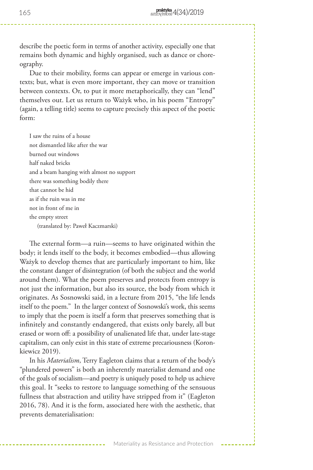describe the poetic form in terms of another activity, especially one that remains both dynamic and highly organised, such as dance or choreography.

Due to their mobility, forms can appear or emerge in various contexts; but, what is even more important, they can move or transition between contexts. Or, to put it more metaphorically, they can "lend" themselves out. Let us return to Ważyk who, in his poem "Entropy" (again, a telling title) seems to capture precisely this aspect of the poetic form:

I saw the ruins of a house not dismantled like after the war burned out windows half naked bricks and a beam hanging with almost no support there was something bodily there that cannot be hid as if the ruin was in me not in front of me in the empty street (translated by: Paweł Kaczmarski)

The external form—a ruin—seems to have originated within the body; it lends itself to the body, it becomes embodied—thus allowing Ważyk to develop themes that are particularly important to him, like the constant danger of disintegration (of both the subject and the world around them). What the poem preserves and protects from entropy is not just the information, but also its source, the body from which it originates. As Sosnowski said, in a lecture from 2015, "the life lends itself to the poem." In the larger context of Sosnowski's work, this seems to imply that the poem is itself a form that preserves something that is infinitely and constantly endangered, that exists only barely, all but erased or worn off: a possibility of unalienated life that, under late-stage capitalism, can only exist in this state of extreme precariousness (Koronkiewicz 2019).

In his *Materialism*, Terry Eagleton claims that a return of the body's "plundered powers" is both an inherently materialist demand and one of the goals of socialism—and poetry is uniquely posed to help us achieve this goal. It "seeks to restore to language something of the sensuous fullness that abstraction and utility have stripped from it" (Eagleton 2016, 78). And it is the form, associated here with the aesthetic, that prevents dematerialisation: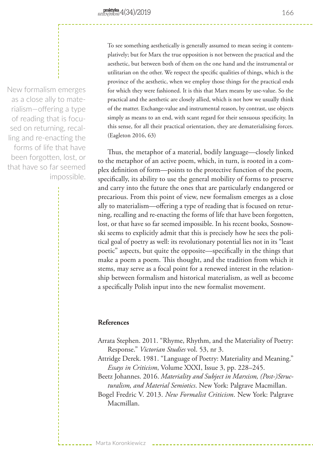New formalism emerges as a close ally to materialism—offering a type of reading that is focused on returning, recalling and re-enacting the forms of life that have been forgotten, lost, or that have so far seemed impossible. To see something aesthetically is generally assumed to mean seeing it contemplatively; but for Marx the true opposition is not between the practical and the aesthetic, but between both of them on the one hand and the instrumental or utilitarian on the other. We respect the specific qualities of things, which is the province of the aesthetic, when we employ those things for the practical ends for which they were fashioned. It is this that Marx means by use-value. So the practical and the aesthetic are closely allied, which is not how we usually think of the matter. Exchange-value and instrumental reason, by contrast, use objects simply as means to an end, with scant regard for their sensuous specificity. In this sense, for all their practical orientation, they are dematerialising forces. (Eagleton 2016, 63)

Thus, the metaphor of a material, bodily language—closely linked to the metaphor of an active poem, which, in turn, is rooted in a complex definition of form—points to the protective function of the poem, specifically, its ability to use the general mobility of forms to preserve and carry into the future the ones that are particularly endangered or precarious. From this point of view, new formalism emerges as a close ally to materialism—offering a type of reading that is focused on returning, recalling and re-enacting the forms of life that have been forgotten, lost, or that have so far seemed impossible. In his recent books, Sosnowski seems to explicitly admit that this is precisely how he sees the political goal of poetry as well: its revolutionary potential lies not in its "least poetic" aspects, but quite the opposite—specifically in the things that make a poem a poem. This thought, and the tradition from which it stems, may serve as a focal point for a renewed interest in the relationship between formalism and historical materialism, as well as become a specifically Polish input into the new formalist movement.

## **References**

- Arrata Stephen. 2011. "Rhyme, Rhythm, and the Materiality of Poetry: Response." *Victorian Studies* vol. 53, nr 3.
- Attridge Derek. 1981. "Language of Poetry: Materiality and Meaning." *Essays in Criticism*, Volume XXXI, Issue 3, pp. 228–245.

Beetz Johannes. 2016. *Materiality and Subject in Marxism, (Post-)Structuralism, and Material Semiotics*. New York: Palgrave Macmillan.

Bogel Fredric V. 2013. *New Formalist Criticism*. New York: Palgrave Macmillan.

166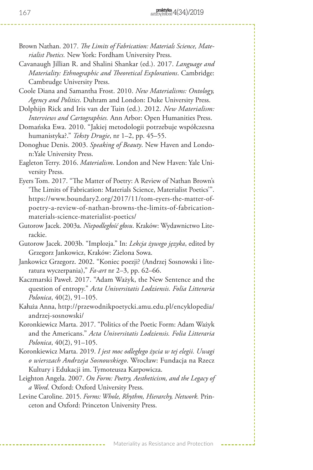- Brown Nathan. 2017. *The Limits of Fabrication: Materials Science, Materialist Poetics.* New York: Fordham University Press.
- Cavanaugh Jillian R. and Shalini Shankar (ed.). 2017. *Language and Materiality: Ethnographic and Theoretical Explorations*. Cambridge: Cambrudge University Press.
- Coole Diana and Samantha Frost. 2010. *New Materialisms: Ontology, Agency and Politics*. Duhram and London: Duke University Press.
- Dolphijn Rick and Iris van der Tuin (ed.). 2012. *New Materialism: Interviews and Cartographies.* Ann Arbor: Open Humanities Press.
- Domańska Ewa. 2010. "Jakiej metodologii potrzebuje współczesna humanistyka?." *Teksty Drugie*, nr 1–2, pp. 45–55.
- Donoghue Denis. 2003. *Speaking of Beauty*. New Haven and London:Yale University Press.
- Eagleton Terry. 2016. *Materialism*. London and New Haven: Yale University Press.
- Eyers Tom. 2017. "The Matter of Poetry: A Review of Nathan Brown's 'The Limits of Fabrication: Materials Science, Materialist Poetics'". https://www.boundary2.org/2017/11/tom-eyers-the-matter-ofpoetry-a-review-of-nathan-browns-the-limits-of-fabricationmaterials-science-materialist-poetics/
- Gutorow Jacek. 2003a. *Niepodległość głosu*. Kraków: Wydawnictwo Literackie.
- Gutorow Jacek. 2003b. "Implozja." In: *Lekcja żywego języka*, edited by Grzegorz Jankowicz, Kraków: Zielona Sowa.
- Jankowicz Grzegorz. 2002. "Koniec poezji? (Andrzej Sosnowski i literatura wyczerpania)," *Fa-art* nr 2–3, pp. 62–66.
- Kaczmarski Paweł. 2017. "Adam Ważyk, the New Sentence and the question of entropy." *Acta Universitatis Lodziensis. Folia Litteraria Polonica*, 40(2), 91–105.
- Kałuża Anna, http://przewodnikpoetycki.amu.edu.pl/encyklopedia/ andrzej-sosnowski/
- Koronkiewicz Marta. 2017. "Politics of the Poetic Form: Adam Ważyk and the Americans." *Acta Universitatis Lodziensis. Folia Litteraria Polonica*, 40(2), 91–105.
- Koronkiewicz Marta. 2019. *I jest moc odległego życia w tej elegii. Uwagi o wierszach Andrzeja Sosnowskiego*. Wrocław: Fundacja na Rzecz Kultury i Edukacji im. Tymoteusza Karpowicza.
- Leighton Angela. 2007. *On Form: Poetry, Aestheticism, and the Legacy of a Word*. Oxford: Oxford University Press.
- Levine Caroline. 2015. *Forms: Whole, Rhythm, Hierarchy, Network.* Princeton and Oxford: Princeton University Press.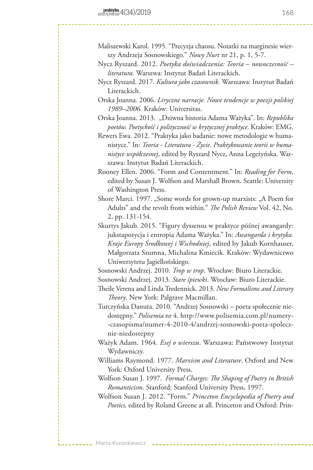- Maliszewski Karol. 1995. "Precyzja chaosu. Notatki na marginesie wierszy Andrzeja Sosnowskiego." *Nowy Nurt* nr 21, p. 1, 5-7.
- Nycz Ryszard. 2012. *Poetyka doświadczenia: Teoria nowoczesność literatura.* Warszwa: Instytut Badań Literackich.
- Nycz Ryszard. 2017. *Kultura jako czasownik.* Warszawa: Instytut Badań Literackich.
- Orska Joanna. 2006. *Liryczne narracje. Nowe tendencje w poezji polskiej 1989–2006.* Kraków: Universitas.

Orska Joanna. 2013. "Dziwna historia Adama Ważyka". In: *Republika poetów. Poetyckość i polityczność w krytycznej praktyce*. Kraków: EMG.

Rewers Ewa. 2012. "Praktyka jako badanie: nowe metodologie w humanistyce." In: *Teoria - Literatura - Życie. Praktykowanie teorii w humanistyce współczesnej*, edited by Ryszard Nycz, Anna Legeżyńska. Warszawa: Instytut Badań Literackich.

- Rooney Ellen. 2006. "Form and Contentment." In: *Reading for Form*, edited by Susan J. Wolfson and Marshall Brown. Seattle: University of Washington Press.
- Shore Marci. 1997. "Some words for grown-up marxists: "A Poem for Adults" and the revolt from within." *The Polish Review* Vol. 42, No. 2, pp. 131-154.
- Skurtys Jakub. 2015. "Figury dyssensu w praktyce późnej awangardy: jukstapozycja i entropia Adama Ważyka." In: *Awangarda i krytyka. Kraje Europy Środkowej i Wschodniej*, edited by Jakub Kornhauser, Małgorzata Szumna, Michalina Kmiecik. Kraków: Wydawnictwo Uniwersytetu Jagiellońskiego.

Sosnowski Andrzej. 2010. *Trop w trop*. Wrocław: Biuro Literackie.

Sosnowski Andrzej. 2013. *Stare śpiewki*. Wrocław: Biuro Literackie.

Theile Verena and Linda Tredennick. 2013. *New Formalisms and Literary Theory*. New York: Palgrave Macmillan.

Turczyńska Danuta. 2010. "Andrzej Sosnowski – poeta społecznie niedostępny." *Polisemia* nr 4. http://www.polisemia.com.pl/numery- -czasopisma/numer-4-2010-4/andrzej-sosnowski-poeta-spolecznie-niedostepny

- Ważyk Adam. 1964. *Esej o wierszu*. Warszawa: Państwowy Instytut Wydawniczy.
- Williams Raymond. 1977. *Marxism and Literature*. Oxford and New York: Oxford University Press.

Wolfson Susan J. 1997. *Formal Charges: The Shaping of Poetry in British Romanticism*. Stanford: Stanford University Press, 1997.

Wolfson Susan J. 2012. "Form." *Princeton Encyclopedia of Poetry and Poetics,* edited by Roland Greene at all. Princeton and Oxford: Prin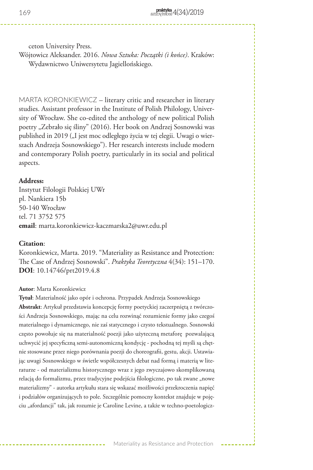ceton University Press.

Wójtowicz Aleksander. 2016. *Nowa Sztuka: Początki (i końce)*. Kraków: Wydawnictwo Uniwersytetu Jagiellońskiego.

MARTA KORONKIEWICZ – literary critic and researcher in literary studies. Assistant professor in the Institute of Polish Philology, University of Wrocław. She co-edited the anthology of new political Polish poetry "Zebrało się śliny" (2016). Her book on Andrzej Sosnowski was published in 2019 ("I jest moc odległego życia w tej elegii. Uwagi o wierszach Andrzeja Sosnowskiego"). Her research interests include modern and contemporary Polish poetry, particularly in its social and political aspects.

#### **Address:**

Instytut Filologii Polskiej UWr pl. Nankiera 15b 50-140 Wrocław tel. 71 3752 575 **email**: marta.koronkiewicz-kaczmarska2@uwr.edu.pl

### **Citation**:

Koronkiewicz, Marta. 2019. "Materiality as Resistance and Protection: The Case of Andrzej Sosnowski". *Praktyka Teoretyczna* 4(34): 151–170. **DOI**: 10.14746/prt2019.4.8

#### **Autor**: Marta Koronkiewicz

**Tytuł**: Materialność jako opór i ochrona. Przypadek Andrzeja Sosnowskiego **Abstrakt**: Artykuł przedstawia koncepcję formy poetyckiej zaczerpniętą z twórczości Andrzeja Sosnowskiego, mając na celu rozwinąć rozumienie formy jako czegoś materialnego i dynamicznego, nie zaś statycznego i czysto tekstualnego. Sosnowski często powołuje się na materialność poezji jako użyteczną metaforę pozwalającą uchwycić jej specyficzną semi-autonomiczną kondycję - pochodną tej myśli są chętnie stosowane przez niego porównania poezji do choreografii, gestu, akcji. Ustawiając uwagi Sosnowskiego w świetle współczesnych debat nad formą i materią w literaturze - od materializmu historycznego wraz z jego zwyczajowo skomplikowaną relacją do formalizmu, przez tradycyjne podejścia filologiczne, po tak zwane "nowe materializmy" - autorka artykułu stara się wskazać możliwości przekroczenia napięć i podziałów organizujących to pole. Szczególnie pomocny kontekst znajduje w pojęciu "afordancji" tak, jak rozumie je Caroline Levine, a także w techno-poetologicz-